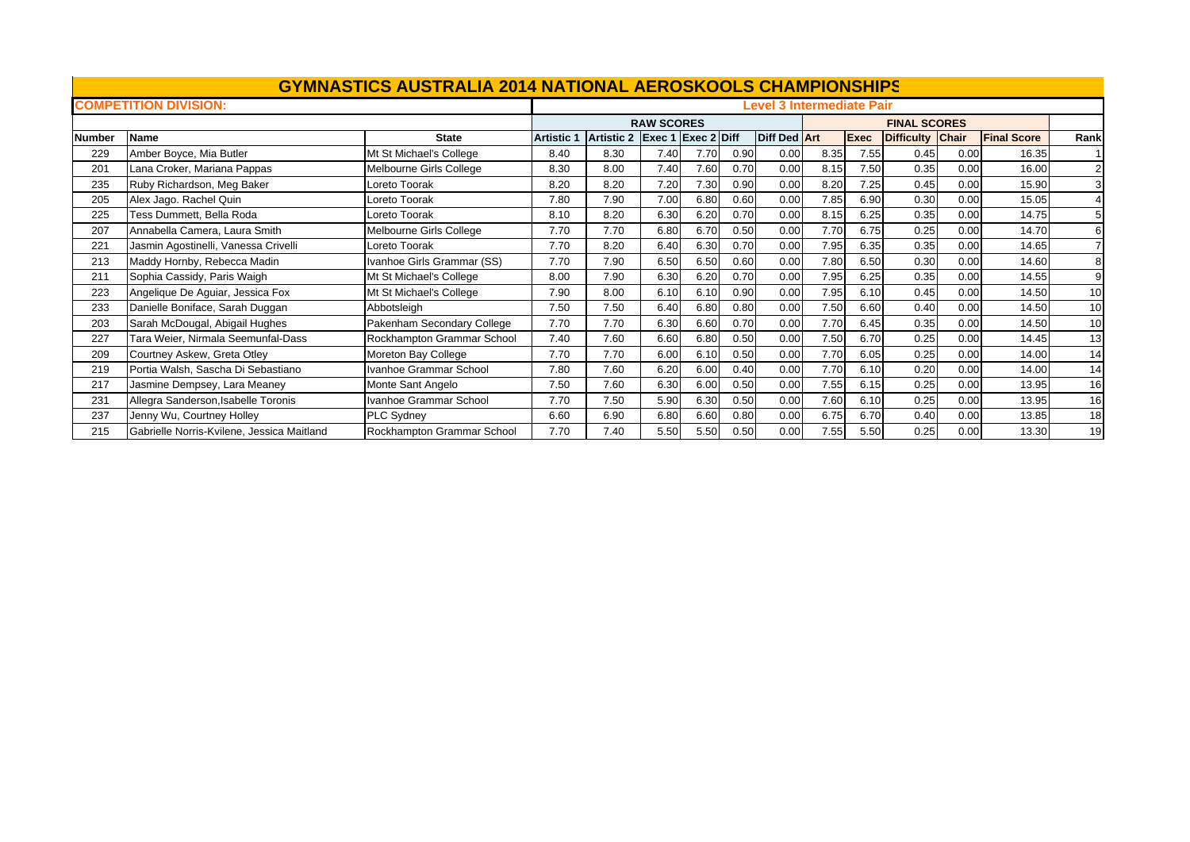|               |                                            | <b>GYMNASTICS AUSTRALIA 2014 NATIONAL AEROSKOOLS CHAMPIONSHIPS</b> |                   |                               |                   |      |      |                                  |      |             |                     |      |                    |                |
|---------------|--------------------------------------------|--------------------------------------------------------------------|-------------------|-------------------------------|-------------------|------|------|----------------------------------|------|-------------|---------------------|------|--------------------|----------------|
|               | <b>COMPETITION DIVISION:</b>               |                                                                    |                   |                               |                   |      |      | <b>Level 3 Intermediate Pair</b> |      |             |                     |      |                    |                |
|               |                                            |                                                                    |                   |                               | <b>RAW SCORES</b> |      |      |                                  |      |             | <b>FINAL SCORES</b> |      |                    |                |
| <b>Number</b> | Name                                       | <b>State</b>                                                       | <b>Artistic 1</b> | Artistic 2 Exec 1 Exec 2 Diff |                   |      |      | <b>Diff Ded Art</b>              |      | <b>Exec</b> | Difficulty Chair    |      | <b>Final Score</b> | Rank           |
| 229           | Amber Boyce, Mia Butler                    | Mt St Michael's College                                            | 8.40              | 8.30                          | 7.40              | 7.70 | 0.90 | 0.00                             | 8.35 | 7.55        | 0.45                | 0.00 | 16.35              |                |
| 201           | Lana Croker, Mariana Pappas                | Melbourne Girls College                                            | 8.30              | 8.00                          | 7.40              | 7.60 | 0.70 | 0.00                             | 8.15 | 7.50        | 0.35                | 0.00 | 16.00              | $\overline{2}$ |
| 235           | Ruby Richardson, Meg Baker                 | Loreto Toorak                                                      | 8.20              | 8.20                          | 7.20              | 7.30 | 0.90 | 0.00                             | 8.20 | 7.25        | 0.45                | 0.00 | 15.90              | 3              |
| 205           | Alex Jago. Rachel Quin                     | oreto Toorak                                                       | 7.80              | 7.90                          | 7.00              | 6.80 | 0.60 | 0.00                             | 7.85 | 6.90        | 0.30                | 0.00 | 15.05              |                |
| 225           | Tess Dummett, Bella Roda                   | Loreto Toorak                                                      | 8.10              | 8.20                          | 6.30              | 6.20 | 0.70 | 0.00                             | 8.15 | 6.25        | 0.35                | 0.00 | 14.75              | 5              |
| 207           | Annabella Camera, Laura Smith              | Melbourne Girls College                                            | 7.70              | 7.70                          | 6.80              | 6.70 | 0.50 | 0.00                             | 7.70 | 6.75        | 0.25                | 0.00 | 14.70              | 6              |
| 221           | Jasmin Agostinelli, Vanessa Crivelli       | Loreto Toorak                                                      | 7.70              | 8.20                          | 6.40              | 6.30 | 0.70 | 0.00                             | 7.95 | 6.35        | 0.35                | 0.00 | 14.65              | $\overline{7}$ |
| 213           | Maddy Hornby, Rebecca Madin                | Ivanhoe Girls Grammar (SS)                                         | 7.70              | 7.90                          | 6.50              | 6.50 | 0.60 | 0.00                             | 7.80 | 6.50        | 0.30                | 0.00 | 14.60              | 8              |
| 211           | Sophia Cassidy, Paris Waigh                | Mt St Michael's College                                            | 8.00              | 7.90                          | 6.30              | 6.20 | 0.70 | 0.00                             | 7.95 | 6.25        | 0.35                | 0.00 | 14.55              | 9              |
| 223           | Angelique De Aguiar, Jessica Fox           | Mt St Michael's College                                            | 7.90              | 8.00                          | 6.10              | 6.10 | 0.90 | 0.00                             | 7.95 | 6.10        | 0.45                | 0.00 | 14.50              | 10             |
| 233           | Danielle Boniface, Sarah Duggan            | Abbotsleigh                                                        | 7.50              | 7.50                          | 6.40              | 6.80 | 0.80 | 0.00                             | 7.50 | 6.60        | 0.40                | 0.00 | 14.50              | 10             |
| 203           | Sarah McDougal, Abigail Hughes             | Pakenham Secondary College                                         | 7.70              | 7.70                          | 6.30              | 6.60 | 0.70 | 0.00                             | 7.70 | 6.45        | 0.35                | 0.00 | 14.50              | 10             |
| 227           | Tara Weier, Nirmala Seemunfal-Dass         | Rockhampton Grammar School                                         | 7.40              | 7.60                          | 6.60              | 6.80 | 0.50 | 0.00                             | 7.50 | 6.70        | 0.25                | 0.00 | 14.45              | 13             |
| 209           | Courtney Askew, Greta Otley                | Moreton Bay College                                                | 7.70              | 7.70                          | 6.00              | 6.10 | 0.50 | 0.00                             | 7.70 | 6.05        | 0.25                | 0.00 | 14.00              | 14             |
| 219           | Portia Walsh, Sascha Di Sebastiano         | Ivanhoe Grammar School                                             | 7.80              | 7.60                          | 6.20              | 6.00 | 0.40 | 0.00                             | 7.70 | 6.10        | 0.20                | 0.00 | 14.00              | 14             |
| 217           | Jasmine Dempsey, Lara Meaney               | Monte Sant Angelo                                                  | 7.50              | 7.60                          | 6.30              | 6.00 | 0.50 | 0.00                             | 7.55 | 6.15        | 0.25                | 0.00 | 13.95              | 16             |
| 231           | Allegra Sanderson, Isabelle Toronis        | Ivanhoe Grammar School                                             | 7.70              | 7.50                          | 5.90              | 6.30 | 0.50 | 0.00                             | 7.60 | 6.10        | 0.25                | 0.00 | 13.95              | 16             |
| 237           | Jenny Wu, Courtney Holley                  | PLC Sydney                                                         | 6.60              | 6.90                          | 6.80              | 6.60 | 0.80 | 0.00                             | 6.75 | 6.70        | 0.40                | 0.00 | 13.85              | 18             |
| 215           | Gabrielle Norris-Kvilene, Jessica Maitland | Rockhampton Grammar School                                         | 7.70              | 7.40                          | 5.50              | 5.50 | 0.50 | 0.00                             | 7.55 | 5.50        | 0.25                | 0.00 | 13.30              | 19             |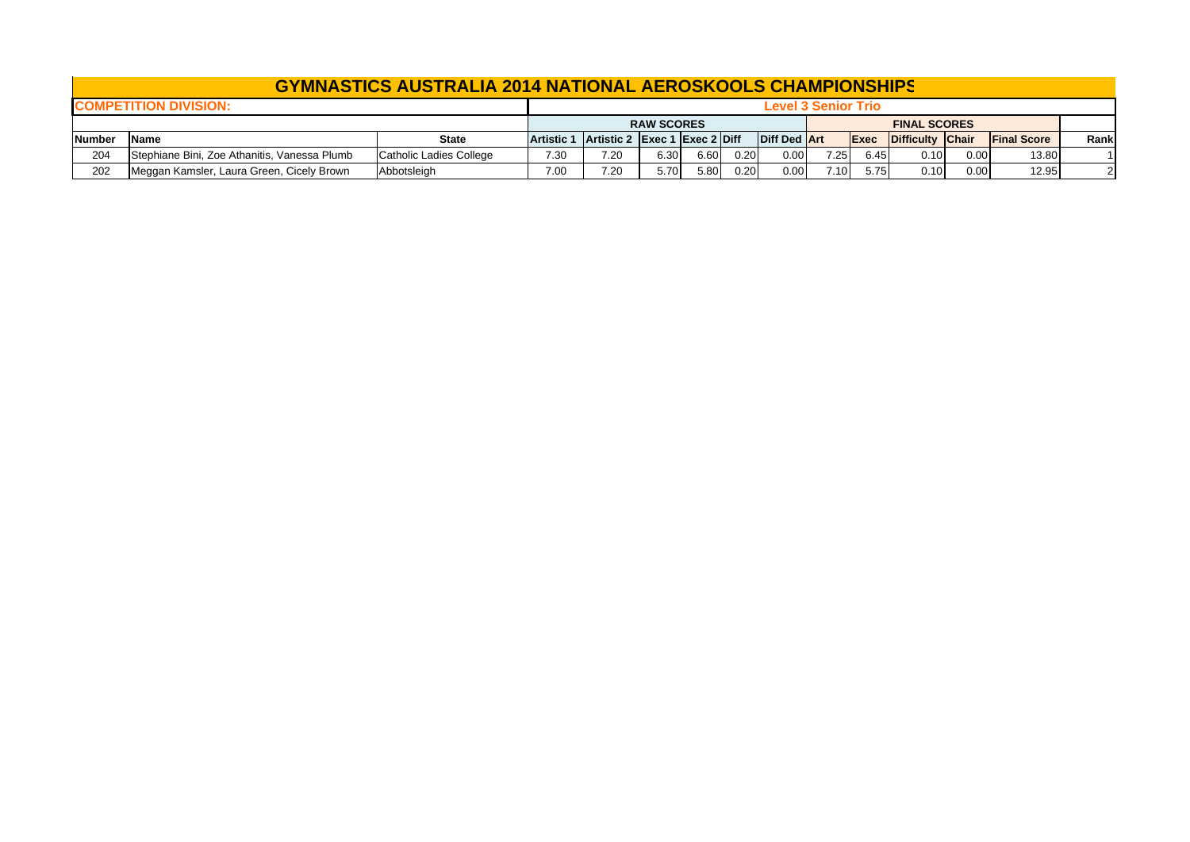|               |                                              | <b>GYMNASTICS AUSTRALIA 2014 NATIONAL AEROSKOOLS CHAMPIONSHIPS</b> |                   |                               |                   |      |      |              |                     |             |                     |      |                    |              |
|---------------|----------------------------------------------|--------------------------------------------------------------------|-------------------|-------------------------------|-------------------|------|------|--------------|---------------------|-------------|---------------------|------|--------------------|--------------|
|               | <b>COMPETITION DIVISION:</b>                 |                                                                    |                   |                               |                   |      |      |              | Level 3 Senior Trio |             |                     |      |                    |              |
|               |                                              |                                                                    |                   |                               | <b>RAW SCORES</b> |      |      |              |                     |             | <b>FINAL SCORES</b> |      |                    |              |
| <b>Number</b> | Name                                         | <b>State</b>                                                       | <b>Artistic 1</b> | Artistic 2 Exec 1 Exec 2 Diff |                   |      |      | Diff Ded Art |                     | <b>Exec</b> | Difficulty Chair    |      | <b>Final Score</b> | Rank         |
| 204           | Stephiane Bini, Zoe Athanitis, Vanessa Plumb | Catholic Ladies College                                            | 7.30              | 7.20                          | 6.30              | 6.60 | 0.20 | 0.00         | 7.25                | 6.45        | 0.10                | 0.00 | 13.80              |              |
| 202           | Meggan Kamsler, Laura Green, Cicely Brown    | Abbotsleigh                                                        | 7.00              | 7.20                          | 5.70              | 5.80 | 0.20 | 0.00         | 7.10                | 5.75        | 0.10                | 0.00 | 12.95              | $\mathbf{2}$ |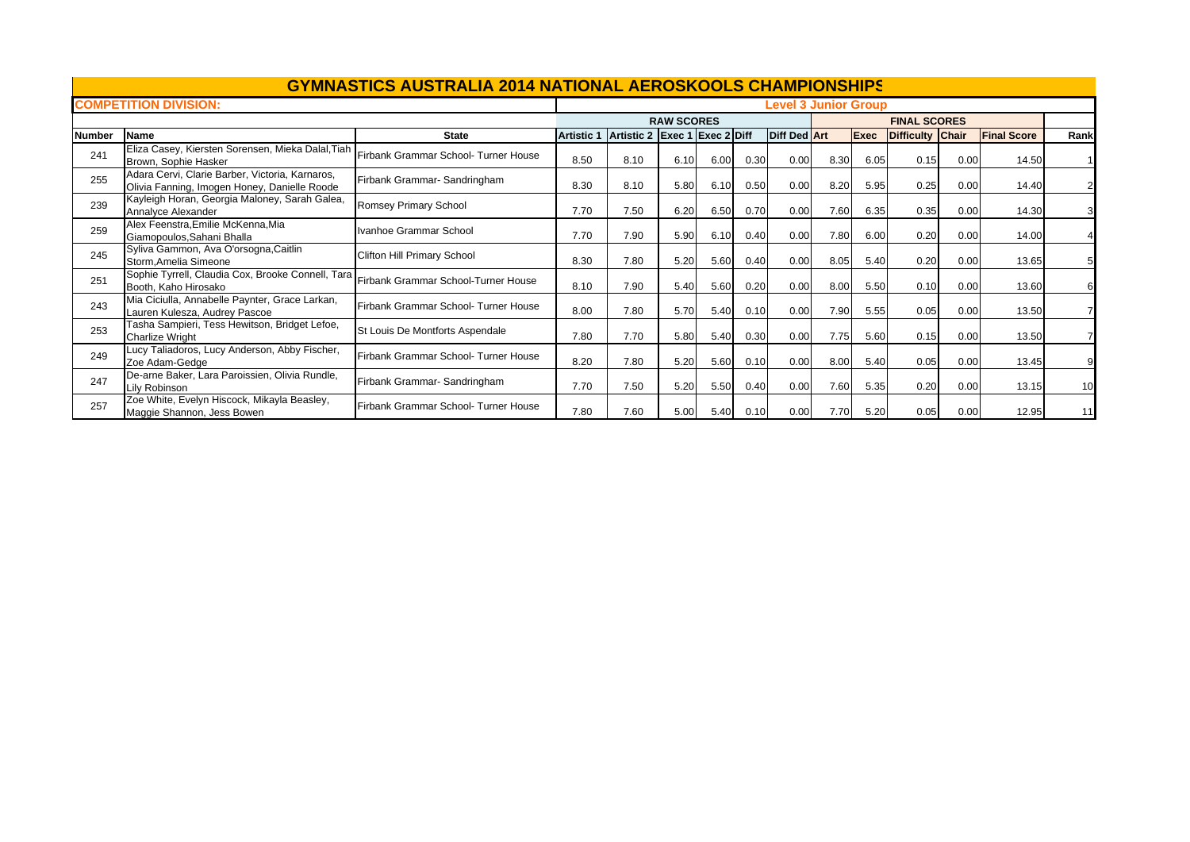|               |                                                                                                 | <b>GYMNASTICS AUSTRALIA 2014 NATIONAL AEROSKOOLS CHAMPIONSHIPS</b> |                   |                               |                   |      |      |                             |      |             |                     |      |                    |      |
|---------------|-------------------------------------------------------------------------------------------------|--------------------------------------------------------------------|-------------------|-------------------------------|-------------------|------|------|-----------------------------|------|-------------|---------------------|------|--------------------|------|
|               | <b>COMPETITION DIVISION:</b>                                                                    |                                                                    |                   |                               |                   |      |      | <b>Level 3 Junior Group</b> |      |             |                     |      |                    |      |
|               |                                                                                                 |                                                                    |                   |                               | <b>RAW SCORES</b> |      |      |                             |      |             | <b>FINAL SCORES</b> |      |                    |      |
| <b>Number</b> | Name                                                                                            | <b>State</b>                                                       | <b>Artistic 1</b> | Artistic 2 Exec 1 Exec 2 Diff |                   |      |      | <b>Diff Ded Art</b>         |      | <b>Exec</b> | Difficulty Chair    |      | <b>Final Score</b> | Rank |
| 241           | Eliza Casey, Kiersten Sorensen, Mieka Dalal, Tiah<br>Brown, Sophie Hasker                       | Firbank Grammar School- Turner House                               | 8.50              | 8.10                          | 6.10              | 6.00 | 0.30 | 0.00                        | 8.30 | 6.05        | 0.15                | 0.00 | 14.50              |      |
| 255           | Adara Cervi, Clarie Barber, Victoria, Karnaros,<br>Olivia Fanning, Imogen Honey, Danielle Roode | Firbank Grammar- Sandringham                                       | 8.30              | 8.10                          | 5.80              | 6.10 | 0.50 | 0.00                        | 8.20 | 5.95        | 0.25                | 0.00 | 14.40              |      |
| 239           | Kayleigh Horan, Georgia Maloney, Sarah Galea,<br>Annalyce Alexander                             | Romsey Primary School                                              | 7.70              | 7.50                          | 6.20              | 6.50 | 0.70 | 0.00                        | 7.60 | 6.35        | 0.35                | 0.00 | 14.30              |      |
| 259           | Alex Feenstra, Emilie McKenna, Mia<br>Giamopoulos, Sahani Bhalla                                | Ivanhoe Grammar School                                             | 7.70              | 7.90                          | 5.90              | 6.10 | 0.40 | 0.00                        | 7.80 | 6.00        | 0.20                | 0.00 | 14.00              |      |
| 245           | Syliva Gammon, Ava O'orsogna, Caitlin<br>Storm, Amelia Simeone                                  | Clifton Hill Primary School                                        | 8.30              | 7.80                          | 5.20              | 5.60 | 0.40 | 0.00                        | 8.05 | 5.40        | 0.20                | 0.00 | 13.65              |      |
| 251           | Sophie Tyrrell, Claudia Cox, Brooke Connell, Tara<br>Booth, Kaho Hirosako                       | Firbank Grammar School-Turner House                                | 8.10              | 7.90                          | 5.40              | 5.60 | 0.20 | 0.00                        | 8.00 | 5.50        | 0.10                | 0.00 | 13.60              |      |
| 243           | Mia Ciciulla, Annabelle Paynter, Grace Larkan,<br>Lauren Kulesza, Audrey Pascoe                 | Firbank Grammar School- Turner House                               | 8.00              | 7.80                          | 5.70              | 5.40 | 0.10 | 0.00                        | 7.90 | 5.55        | 0.05                | 0.00 | 13.50              |      |
| 253           | Tasha Sampieri, Tess Hewitson, Bridget Lefoe,<br><b>Charlize Wright</b>                         | St Louis De Montforts Aspendale                                    | 7.80              | 7.70                          | 5.80              | 5.40 | 0.30 | 0.00                        | 7.75 | 5.60        | 0.15                | 0.00 | 13.50              |      |
| 249           | Lucy Taliadoros, Lucy Anderson, Abby Fischer,<br>Zoe Adam-Gedge                                 | Firbank Grammar School- Turner House                               | 8.20              | 7.80                          | 5.20              | 5.60 | 0.10 | 0.00                        | 8.00 | 5.40        | 0.05                | 0.00 | 13.45              |      |
| 247           | De-arne Baker, Lara Paroissien, Olivia Rundle,<br>Lily Robinson                                 | Firbank Grammar- Sandringham                                       | 7.70              | 7.50                          | 5.20              | 5.50 | 0.40 | 0.00                        | 7.60 | 5.35        | 0.20                | 0.00 | 13.15              | 10   |
| 257           | Zoe White, Evelyn Hiscock, Mikayla Beasley,<br>Maggie Shannon, Jess Bowen                       | Firbank Grammar School- Turner House                               | 7.80              | 7.60                          | 5.00              | 5.40 | 0.10 | 0.00                        | 7.70 | 5.20        | 0.05                | 0.00 | 12.95              | 11   |

 $\mathbb{R}$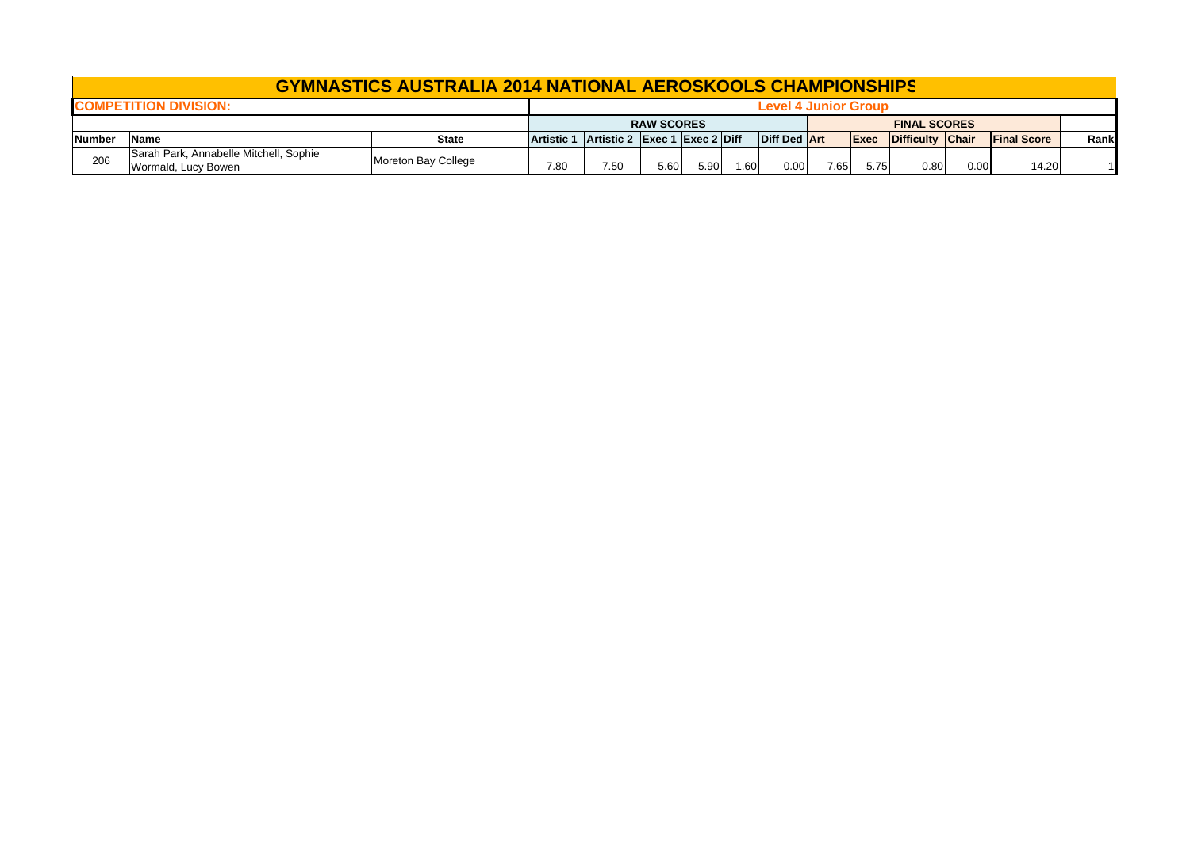|               |                                                                                      | <b>GYMNASTICS AUSTRALIA 2014 NATIONAL AEROSKOOLS CHAMPIONSHIPS</b> |  |                               |      |      |      |                      |      |                     |                  |      |                    |      |
|---------------|--------------------------------------------------------------------------------------|--------------------------------------------------------------------|--|-------------------------------|------|------|------|----------------------|------|---------------------|------------------|------|--------------------|------|
|               | <b>COMPETITION DIVISION:</b>                                                         |                                                                    |  |                               |      |      |      | Level 4 Junior Group |      |                     |                  |      |                    |      |
|               |                                                                                      |                                                                    |  | <b>RAW SCORES</b>             |      |      |      |                      |      | <b>FINAL SCORES</b> |                  |      |                    |      |
| <b>Number</b> | <b>State</b><br><b>Name</b>                                                          |                                                                    |  | Artistic 2 Exec 1 Exec 2 Diff |      |      |      | <b>Diff Ded Art</b>  |      | <b>Exec</b>         | Difficulty Chair |      | <b>Final Score</b> | Rank |
| 206           | Sarah Park, Annabelle Mitchell, Sophie<br>Moreton Bay College<br>Wormald, Lucy Bowen |                                                                    |  | 7.50                          | 5.60 | 5.90 | 1.60 | 0.00                 | 7.65 | 5.75                | 0.80             | 0.00 | 14.20              |      |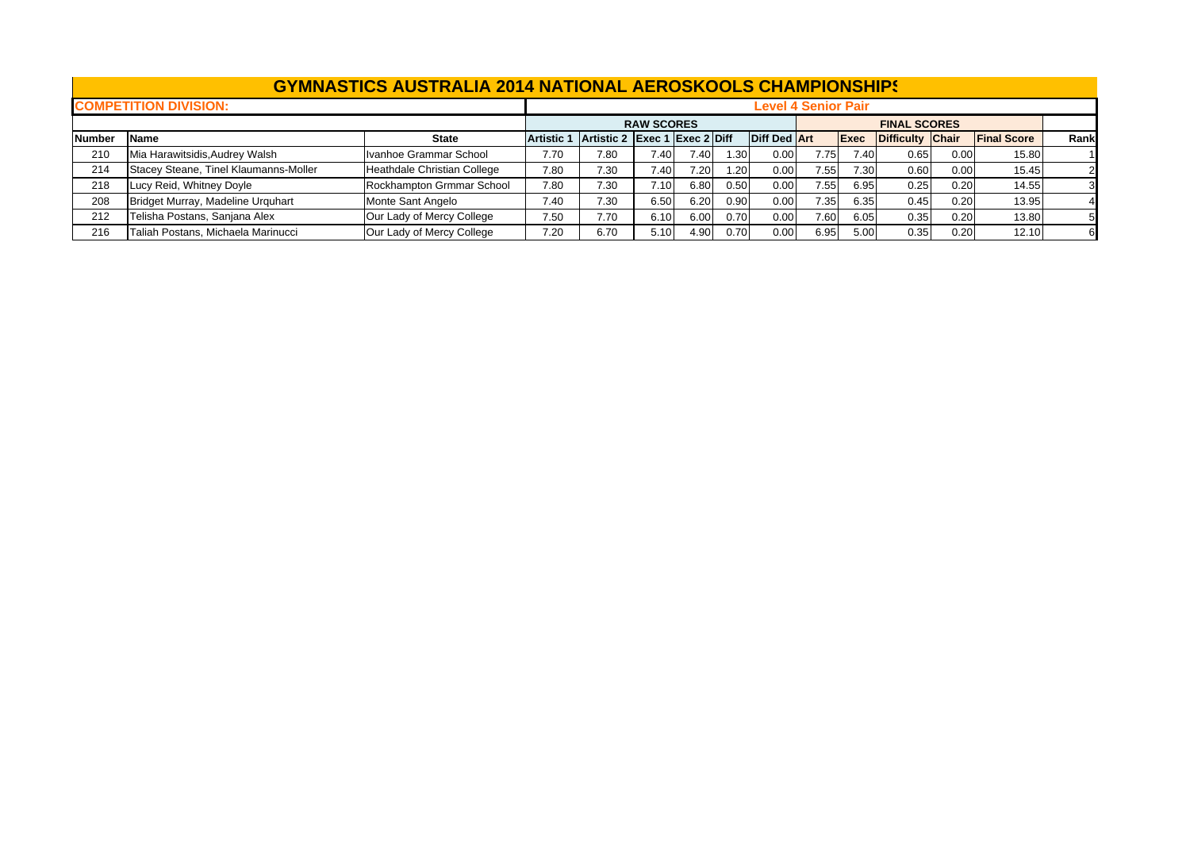|               |                                       | <b>GYMNASTICS AUSTRALIA 2014 NATIONAL AEROSKOOLS CHAMPIONSHIPS</b> |                   |                               |                   |      |      |                     |                            |             |                     |      |                    |      |
|---------------|---------------------------------------|--------------------------------------------------------------------|-------------------|-------------------------------|-------------------|------|------|---------------------|----------------------------|-------------|---------------------|------|--------------------|------|
|               | <b>COMPETITION DIVISION:</b>          |                                                                    |                   |                               |                   |      |      |                     | <b>Level 4 Senior Pair</b> |             |                     |      |                    |      |
|               |                                       |                                                                    |                   |                               | <b>RAW SCORES</b> |      |      |                     |                            |             | <b>FINAL SCORES</b> |      |                    |      |
| <b>Number</b> | Name                                  | <b>State</b>                                                       | <b>Artistic 1</b> | Artistic 2 Exec 1 Exec 2 Diff |                   |      |      | <b>Diff Ded Art</b> |                            | <b>Exec</b> | Difficulty Chair    |      | <b>Final Score</b> | Rank |
| 210           | Mia Harawitsidis, Audrey Walsh        | Ivanhoe Grammar School                                             | 7.70              | 7.80                          | 7.40              | 7.40 | 1.30 | 0.00                | 7.75                       | 7.40        | 0.65                | 0.00 | 15.80              |      |
| 214           | Stacey Steane, Tinel Klaumanns-Moller | Heathdale Christian College                                        | 7.80              | 7.30                          | 7.40              | 7.20 | 1.20 | 0.00                | 7.55                       | 7.30        | 0.60                | 0.00 | 15.45              |      |
| 218           | Lucy Reid, Whitney Doyle              | Rockhampton Grmmar School                                          | 7.80              | 7.30                          | 7.10              | 6.80 | 0.50 | 0.00                | 7.55                       | 6.95        | 0.25                | 0.20 | 14.55              |      |
| 208           | Bridget Murray, Madeline Urquhart     | Monte Sant Angelo                                                  | 7.40              | 7.30                          | 6.50              | 6.20 | 0.90 | 0.00                | 7.35                       | 6.35        | 0.45                | 0.20 | 13.95              |      |
| 212           | Telisha Postans, Sanjana Alex         | Our Lady of Mercy College                                          | 7.50              | 7.70                          | 6.10              | 6.00 | 0.70 | 0.00                | 7.60                       | 6.05        | 0.35                | 0.20 | 13.80              |      |
| 216           | Taliah Postans, Michaela Marinucci    | Our Lady of Mercy College                                          | 7.20              | 6.70                          | 5.10              | 4.90 | 0.70 | 0.00                | 6.95                       | 5.00        | 0.35                | 0.20 | 12.10              |      |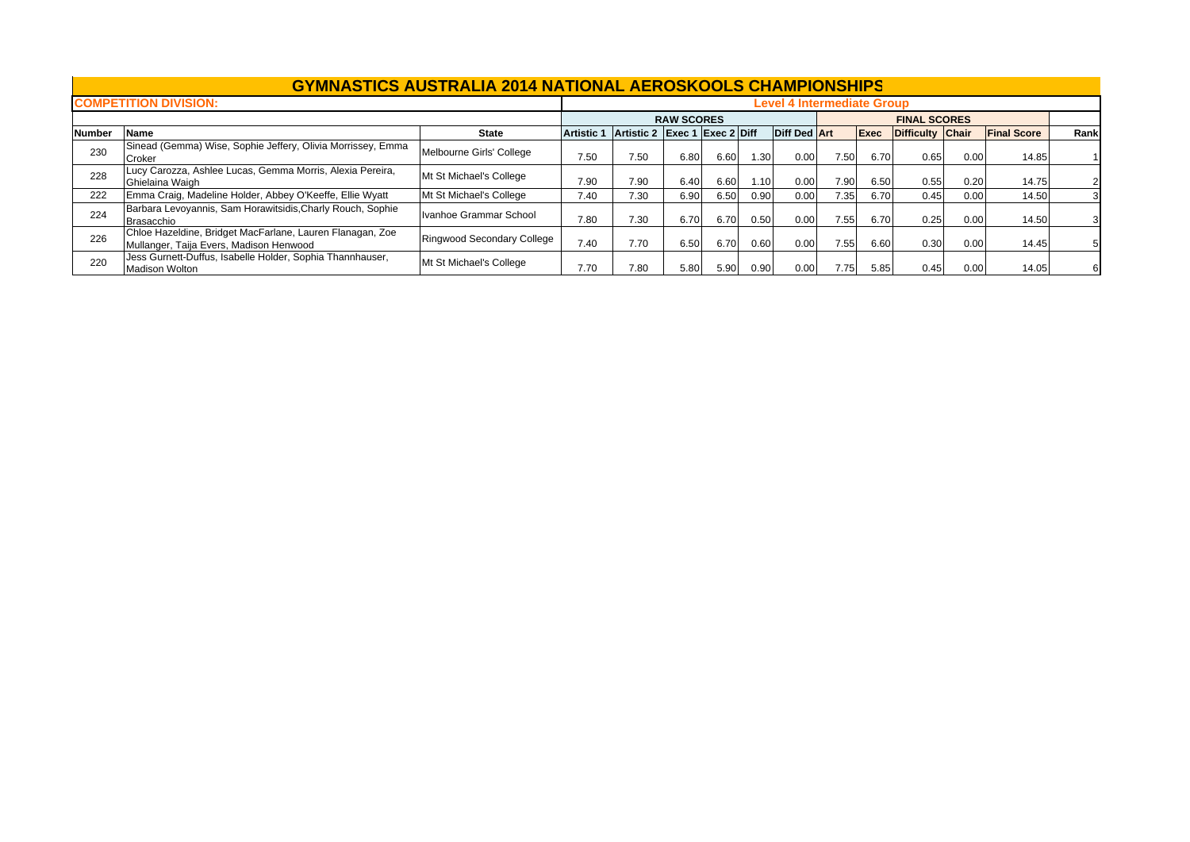|        |                                                                                                      | <b>GYMNASTICS AUSTRALIA 2014 NATIONAL AEROSKOOLS CHAMPIONSHIPS</b> |                   |                               |                   |      |      |                                   |      |      |                     |      |                    |      |
|--------|------------------------------------------------------------------------------------------------------|--------------------------------------------------------------------|-------------------|-------------------------------|-------------------|------|------|-----------------------------------|------|------|---------------------|------|--------------------|------|
|        | <b>COMPETITION DIVISION:</b>                                                                         |                                                                    |                   |                               |                   |      |      | <b>Level 4 Intermediate Group</b> |      |      |                     |      |                    |      |
|        |                                                                                                      |                                                                    |                   |                               | <b>RAW SCORES</b> |      |      |                                   |      |      | <b>FINAL SCORES</b> |      |                    |      |
| Number | <b>Name</b>                                                                                          | <b>State</b>                                                       | <b>Artistic 1</b> | Artistic 2 Exec 1 Exec 2 Diff |                   |      |      | <b>Diff Ded Art</b>               |      | Exec | Difficulty Chair    |      | <b>Final Score</b> | Rank |
| 230    | Sinead (Gemma) Wise, Sophie Jeffery, Olivia Morrissey, Emma<br>Croker                                | Melbourne Girls' College                                           | 7.50              | 7.50                          | 6.80              | 6.60 | 1.30 | 0.00                              | 7.50 | 6.70 | 0.65                | 0.00 | 14.85              |      |
| 228    | Lucy Carozza, Ashlee Lucas, Gemma Morris, Alexia Pereira,<br>Ghielaina Waigh                         | Mt St Michael's College                                            | 7.90              | 7.90                          | 6.40              | 6.60 | 1.10 | 0.00                              | 7.90 | 6.50 | 0.55                | 0.20 | 14.75              |      |
| 222    | Emma Craig, Madeline Holder, Abbey O'Keeffe, Ellie Wyatt                                             | Mt St Michael's College                                            | 7.40              | 7.30                          | 6.90              | 6.50 | 0.90 | 0.00                              | 7.35 | 6.70 | 0.45                | 0.00 | 14.50              |      |
| 224    | Barbara Levoyannis, Sam Horawitsidis, Charly Rouch, Sophie<br><b>Brasacchio</b>                      | Ivanhoe Grammar School                                             | 7.80              | 7.30                          | 6.70              | 6.70 | 0.50 | 0.00                              | 7.55 | 6.70 | 0.25                | 0.00 | 14.50              |      |
| 226    | Chloe Hazeldine, Bridget MacFarlane, Lauren Flanagan, Zoe<br>Mullanger, Taija Evers, Madison Henwood | Ringwood Secondary College                                         | 7.40              | 7.70                          | 6.50              | 6.70 | 0.60 | 0.00                              | 7.55 | 6.60 | 0.30                | 0.00 | 14.45              |      |
| 220    | Jess Gurnett-Duffus, Isabelle Holder, Sophia Thannhauser,<br><b>Madison Wolton</b>                   | Mt St Michael's College                                            | 7.70              | 7.80                          | 5.80              | 5.90 | 0.90 | 0.00                              | 7.75 | 5.85 | 0.45                | 0.00 | 14.05              | 61   |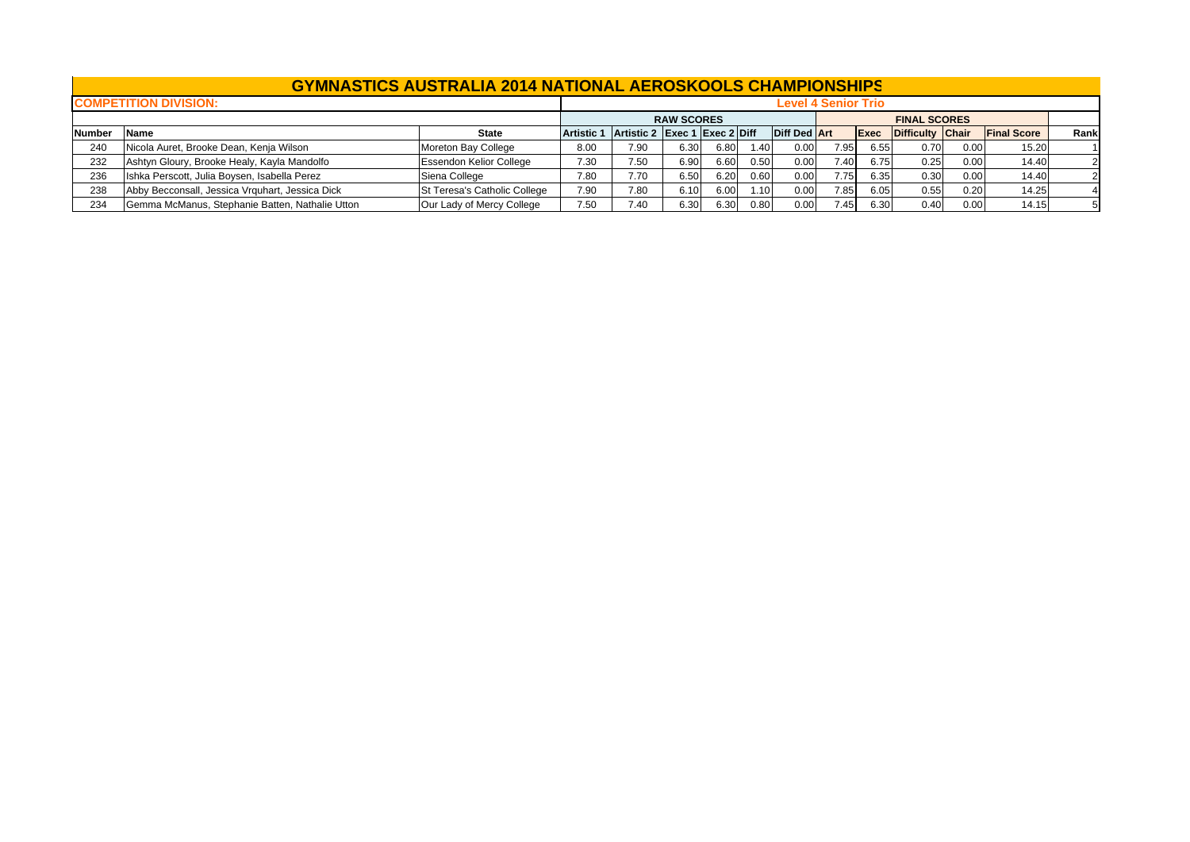|               |                                                 | <b>GYMNASTICS AUSTRALIA 2014 NATIONAL AEROSKOOLS CHAMPIONSHIPS</b> |                                          |      |                   |      |      |                     |                            |      |                     |      |                    |      |
|---------------|-------------------------------------------------|--------------------------------------------------------------------|------------------------------------------|------|-------------------|------|------|---------------------|----------------------------|------|---------------------|------|--------------------|------|
|               | <b>COMPETITION DIVISION:</b>                    |                                                                    |                                          |      |                   |      |      |                     | <b>Level 4 Senior Trio</b> |      |                     |      |                    |      |
|               |                                                 |                                                                    |                                          |      | <b>RAW SCORES</b> |      |      |                     |                            |      | <b>FINAL SCORES</b> |      |                    |      |
| <b>Number</b> | <b>Name</b>                                     | <b>State</b>                                                       | Artistic 1 Artistic 2 Exec 1 Exec 2 Diff |      |                   |      |      | <b>Diff Ded Art</b> |                            | Exec | Difficulty Chair    |      | <b>Final Score</b> | Rank |
| 240           | Nicola Auret, Brooke Dean, Kenja Wilson         | Moreton Bay College                                                | 8.00                                     | 7.90 | 6.30              | 6.80 | 1.40 | 0.00                | 7.95                       | 6.55 | 0.70                | 0.00 | 15.20              |      |
| 232           | Ashtyn Gloury, Brooke Healy, Kayla Mandolfo     | <b>Essendon Kelior College</b>                                     | 7.30                                     | 7.50 | 6.90              | 6.60 | 0.50 | 0.00                | 7.40                       | 6.75 | 0.25                | 0.00 | 14.40              |      |
| 236           | Ishka Perscott, Julia Boysen, Isabella Perez    | Siena College                                                      | 7.80                                     | 7.70 | 6.50              | 6.20 | 0.60 | 0.00                | 7.75                       | 6.35 | 0.30                | 0.00 | 14.40              |      |
| 238           | Abby Becconsall, Jessica Vrquhart, Jessica Dick | St Teresa's Catholic College                                       | 7.90                                     | 7.80 | 6.10              | 6.00 | 1.10 | 0.00                | 7.85                       | 6.05 | 0.55                | 0.20 | 14.25              |      |
| 234           | Gemma McManus, Stephanie Batten, Nathalie Utton | Our Lady of Mercy College                                          | 7.50                                     | 7.40 | 6.30              | 6.30 | 0.80 | 0.00                | 7.45                       | 6.30 | 0.40                | 0.00 | 14.15              |      |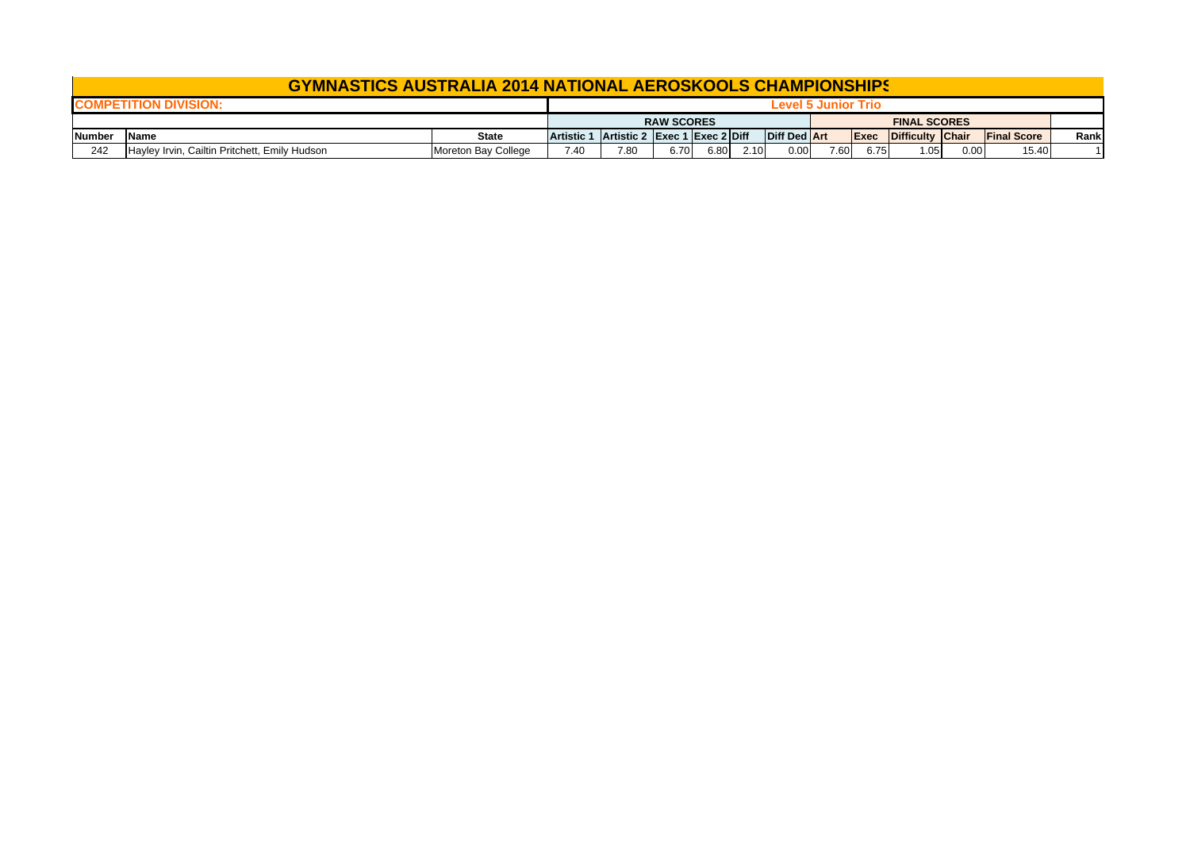|        | <b>GYMNASTICS AUSTRALIA 2014 NATIONAL AEROSKOOLS CHAMPIONSHIPS</b> |                     |                   |                               |                   |      |      |                     |                     |      |                     |      |                    |      |
|--------|--------------------------------------------------------------------|---------------------|-------------------|-------------------------------|-------------------|------|------|---------------------|---------------------|------|---------------------|------|--------------------|------|
|        |                                                                    |                     |                   |                               |                   |      |      |                     | Level 5 Junior Trio |      |                     |      |                    |      |
|        |                                                                    |                     |                   |                               | <b>RAW SCORES</b> |      |      |                     |                     |      | <b>FINAL SCORES</b> |      |                    |      |
| Number | <b>IName</b>                                                       | <b>State</b>        | <b>Artistic 1</b> | Artistic 2 Exec 1 Exec 2 Diff |                   |      |      | <b>Diff Ded Art</b> |                     | Exec | Difficulty Chair    |      | <b>Final Score</b> | Rank |
| 242    | Hayley Irvin, Cailtin Pritchett, Emily Hudson                      | Moreton Bay College | 7.40              | 7.80                          | 6.70              | 6.80 | 2.10 | 0.00                | 7.60                | 6.75 | 1.05                | 0.00 | 15.40              |      |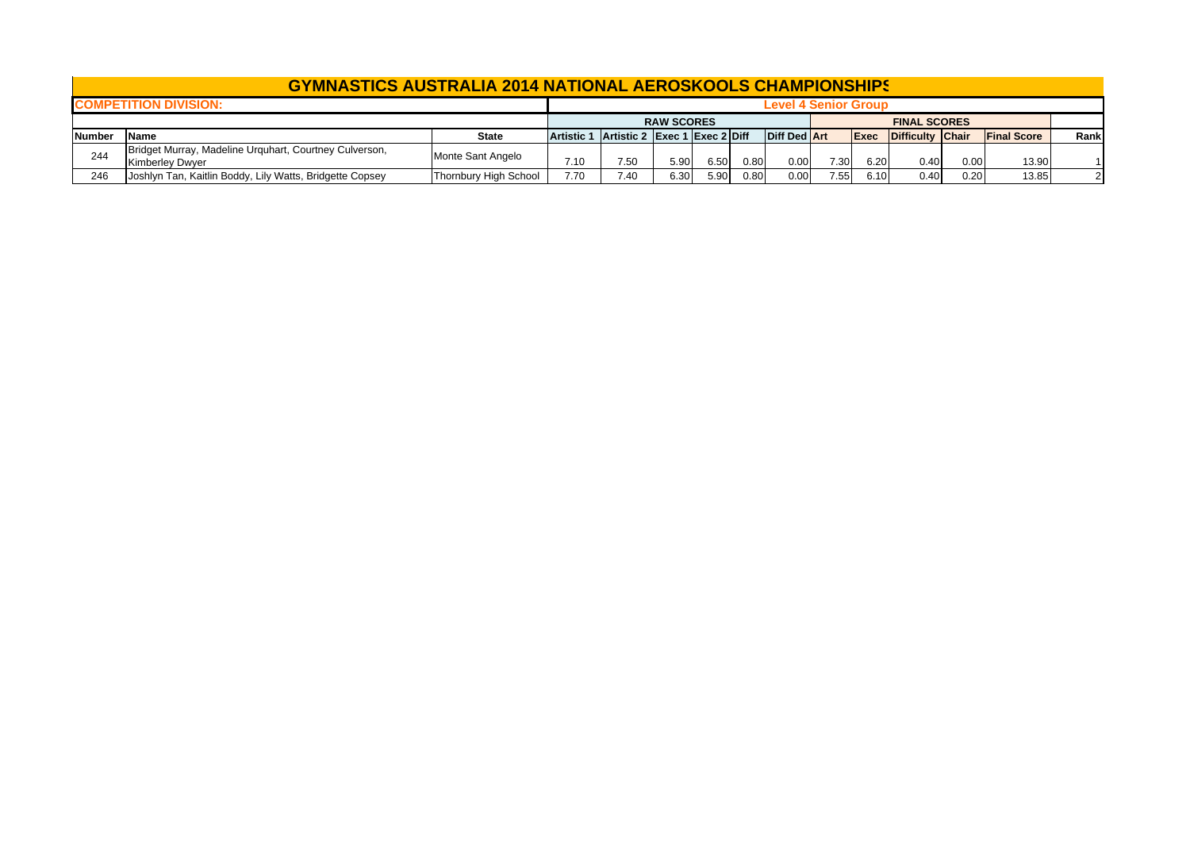|        | <b>GYMNASTICS AUSTRALIA 2014 NATIONAL AEROSKOOLS CHAMPIONSHIPS</b>               |                       |                   |                               |                   |      |      |                             |      |      |                              |      |                    |      |
|--------|----------------------------------------------------------------------------------|-----------------------|-------------------|-------------------------------|-------------------|------|------|-----------------------------|------|------|------------------------------|------|--------------------|------|
|        | <b>COMPETITION DIVISION:</b>                                                     |                       |                   |                               |                   |      |      | <b>Level 4 Senior Group</b> |      |      |                              |      |                    |      |
|        |                                                                                  |                       |                   |                               | <b>RAW SCORES</b> |      |      |                             |      |      | <b>FINAL SCORES</b>          |      |                    |      |
| Number | <b>Name</b>                                                                      | <b>State</b>          | <b>Artistic 1</b> | Artistic 2 Exec 1 Exec 2 Diff |                   |      |      | <b>Diff Ded Art</b>         |      |      | <b>Exec</b> Difficulty Chair |      | <b>Final Score</b> | Rank |
| 244    | Bridget Murray, Madeline Urquhart, Courtney Culverson,<br><b>Kimberley Dwyer</b> | Monte Sant Angelo     | 7.10              | 7.50                          | 5.90              | 6.50 | 0.80 | 0.00                        | 7.30 | 6.20 | 0.40                         | 0.00 | 13.90              |      |
| 246    | Joshlyn Tan, Kaitlin Boddy, Lily Watts, Bridgette Copsey                         | Thornbury High School | 7.70              | 7.40                          | 6.30              | 5.90 | 0.80 | 0.00                        | 7.55 | 6.10 | 0.40                         | 0.20 | 13.85              |      |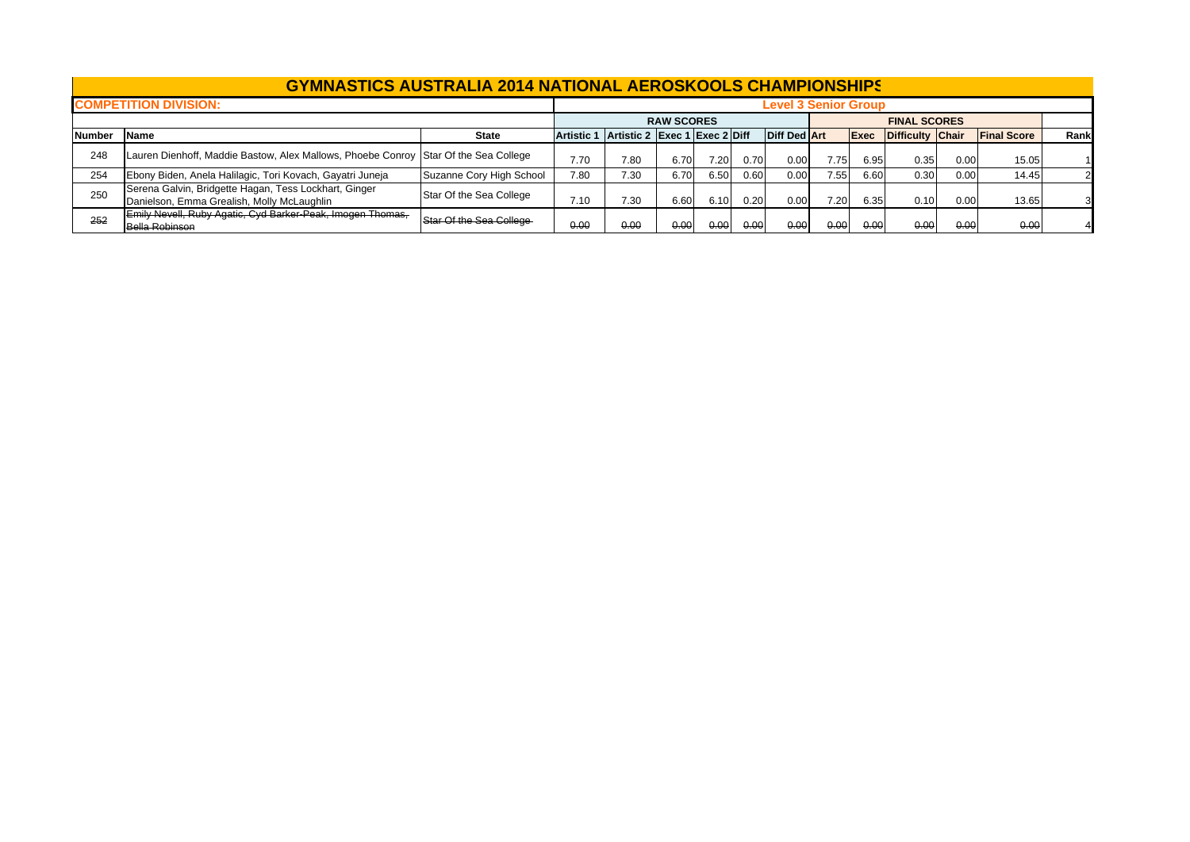|               | <b>GYMNASTICS AUSTRALIA 2014 NATIONAL AEROSKOOLS CHAMPIONSHIPS</b>                                  |                          |      |                                          |                   |      |      |                             |      |      |                     |      |                    |      |
|---------------|-----------------------------------------------------------------------------------------------------|--------------------------|------|------------------------------------------|-------------------|------|------|-----------------------------|------|------|---------------------|------|--------------------|------|
|               | <b>COMPETITION DIVISION:</b>                                                                        |                          |      |                                          |                   |      |      | <b>Level 3 Senior Group</b> |      |      |                     |      |                    |      |
|               |                                                                                                     |                          |      |                                          | <b>RAW SCORES</b> |      |      |                             |      |      | <b>FINAL SCORES</b> |      |                    |      |
| <b>Number</b> | Name                                                                                                | <b>State</b>             |      | Artistic 1 Artistic 2 Exec 1 Exec 2 Diff |                   |      |      | <b>Diff Ded Art</b>         |      | Exec | Difficulty Chair    |      | <b>Final Score</b> | Rank |
| 248           | Lauren Dienhoff, Maddie Bastow, Alex Mallows, Phoebe Conroy  Star Of the Sea College                |                          | 7.70 | 7.80                                     | 6.70              | 7.20 | 0.70 | 0.00                        | 7.75 | 6.95 | 0.35                | 0.00 | 15.05              |      |
| 254           | Ebony Biden, Anela Halilagic, Tori Kovach, Gayatri Juneja                                           | Suzanne Cory High School | 7.80 | 7.30                                     | 6.70              | 6.50 | 0.60 | 0.00                        | 7.55 | 6.60 | 0.30                | 0.00 | 14.45              |      |
| 250           | Serena Galvin, Bridgette Hagan, Tess Lockhart, Ginger<br>Danielson, Emma Grealish, Molly McLaughlin | Star Of the Sea College  | 7.10 | 7.30                                     | 6.60              | 6.10 | 0.20 | 0.00                        | 7.20 | 6.35 | 0.10                | 0.00 | 13.65              |      |
| 252           | Emily Nevell, Ruby Agatic, Cyd Barker-Peak, Imogen Thomas,<br>Bella Robinson                        | Star Of the Sea College  | 0.00 | 0.00                                     | 0.00              | 0.00 | 0.00 | 0.00                        | 0.00 | 0.00 | 0.00                | 0.00 | 0.00               |      |